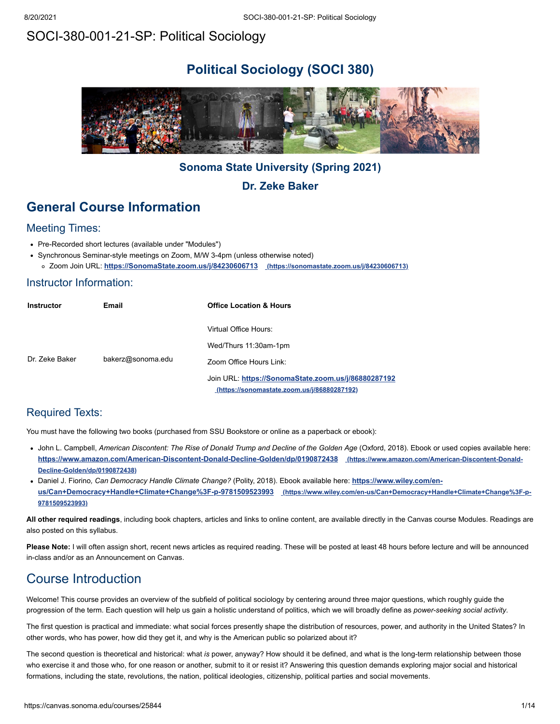# SOCI-380-001-21-SP: Political Sociology

# **Political Sociology (SOCI 380)**



# **Sonoma State University (Spring 2021)**

**Dr. Zeke Baker**

# **General Course Information**

## Meeting Times:

- Pre-Recorded short lectures (available under "Modules")
- Synchronous Seminar-style meetings on Zoom, M/W 3-4pm (unless otherwise noted) Zoom Join URL: **[https://SonomaState.zoom.us/j/84230606713](https://sonomastate.zoom.us/j/84230606713) (https://sonomastate.zoom.us/j/84230606713)**

## Instructor Information:

| <b>Instructor</b> | Email             | <b>Office Location &amp; Hours</b>                                                                        |
|-------------------|-------------------|-----------------------------------------------------------------------------------------------------------|
|                   |                   | Virtual Office Hours:                                                                                     |
|                   |                   | Wed/Thurs 11:30am-1pm                                                                                     |
| Dr. Zeke Baker    | bakerz@sonoma.edu | Zoom Office Hours Link:                                                                                   |
|                   |                   | Join URL: https://SonomaState.zoom.us/j/86880287192<br><u>(https://sonomastate.zoom.us/j/86880287192)</u> |

# Required Texts:

You must have the following two books (purchased from SSU Bookstore or online as a paperback or ebook):

- John L. Campbell, American Discontent: The Rise of Donald Trump and Decline of the Golden Age (Oxford, 2018). Ebook or used copies available here: **<https://www.amazon.com/American-Discontent-Donald-Decline-Golden/dp/0190872438> (https://www.amazon.com/American-Discontent-Donald-Decline-Golden/dp/0190872438)**
- Daniel J. Fiorino*, Can Democracy Handle Climate Change?* (Polity, 2018). Ebook available here: **https://www.wiley.com/en[us/Can+Democracy+Handle+Climate+Change%3F-p-9781509523993](https://www.wiley.com/en-us/Can+Democracy+Handle+Climate+Change%3F-p-9781509523993) (https://www.wiley.com/en-us/Can+Democracy+Handle+Climate+Change%3F-p-9781509523993)**

**All other required readings**, including book chapters, articles and links to online content, are available directly in the Canvas course Modules. Readings are also posted on this syllabus.

Please Note: I will often assign short, recent news articles as required reading. These will be posted at least 48 hours before lecture and will be announced in-class and/or as an Announcement on Canvas.

# Course Introduction

Welcome! This course provides an overview of the subfield of political sociology by centering around three major questions, which roughly guide the progression of the term. Each question will help us gain a holistic understand of politics, which we will broadly define as *power-seeking social activity*.

The first question is practical and immediate: what social forces presently shape the distribution of resources, power, and authority in the United States? In other words, who has power, how did they get it, and why is the American public so polarized about it?

The second question is theoretical and historical: what *is* power, anyway? How should it be defined, and what is the long-term relationship between those who exercise it and those who, for one reason or another, submit to it or resist it? Answering this question demands exploring major social and historical formations, including the state, revolutions, the nation, political ideologies, citizenship, political parties and social movements.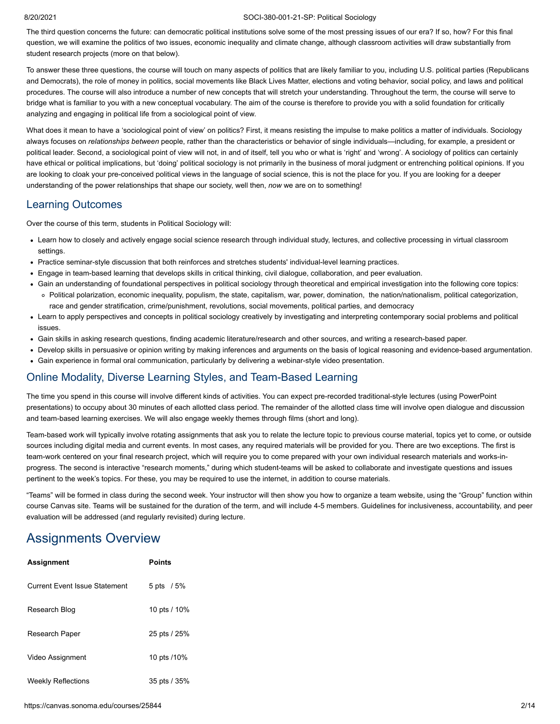#### 8/20/2021 SOCI-380-001-21-SP: Political Sociology

The third question concerns the future: can democratic political institutions solve some of the most pressing issues of our era? If so, how? For this final question, we will examine the politics of two issues, economic inequality and climate change, although classroom activities will draw substantially from student research projects (more on that below).

To answer these three questions, the course will touch on many aspects of politics that are likely familiar to you, including U.S. political parties (Republicans and Democrats), the role of money in politics, social movements like Black Lives Matter, elections and voting behavior, social policy, and laws and political procedures. The course will also introduce a number of new concepts that will stretch your understanding. Throughout the term, the course will serve to bridge what is familiar to you with a new conceptual vocabulary. The aim of the course is therefore to provide you with a solid foundation for critically analyzing and engaging in political life from a sociological point of view.

What does it mean to have a 'sociological point of view' on politics? First, it means resisting the impulse to make politics a matter of individuals. Sociology always focuses on *relationships between* people, rather than the characteristics or behavior of single individuals—including, for example, a president or political leader. Second, a sociological point of view will not, in and of itself, tell you who or what is 'right' and 'wrong'. A sociology of politics can certainly have ethical or political implications, but 'doing' political sociology is not primarily in the business of moral judgment or entrenching political opinions. If you are looking to cloak your pre-conceived political views in the language of social science, this is not the place for you. If you are looking for a deeper understanding of the power relationships that shape our society, well then, *now* we are on to something!

## Learning Outcomes

Over the course of this term, students in Political Sociology will:

- Learn how to closely and actively engage social science research through individual study, lectures, and collective processing in virtual classroom settings.
- Practice seminar-style discussion that both reinforces and stretches students' individual-level learning practices.
- Engage in team-based learning that develops skills in critical thinking, civil dialogue, collaboration, and peer evaluation.
- Gain an understanding of foundational perspectives in political sociology through theoretical and empirical investigation into the following core topics: Political polarization, economic inequality, populism, the state, capitalism, war, power, domination, the nation/nationalism, political categorization, race and gender stratification, crime/punishment, revolutions, social movements, political parties, and democracy
- Learn to apply perspectives and concepts in political sociology creatively by investigating and interpreting contemporary social problems and political issues.
- Gain skills in asking research questions, finding academic literature/research and other sources, and writing a research-based paper.
- Develop skills in persuasive or opinion writing by making inferences and arguments on the basis of logical reasoning and evidence-based argumentation.
- Gain experience in formal oral communication, particularly by delivering a webinar-style video presentation.

## Online Modality, Diverse Learning Styles, and Team-Based Learning

The time you spend in this course will involve different kinds of activities. You can expect pre-recorded traditional-style lectures (using PowerPoint presentations) to occupy about 30 minutes of each allotted class period. The remainder of the allotted class time will involve open dialogue and discussion and team-based learning exercises. We will also engage weekly themes through films (short and long).

Team-based work will typically involve rotating assignments that ask you to relate the lecture topic to previous course material, topics yet to come, or outside sources including digital media and current events. In most cases, any required materials will be provided for you. There are two exceptions. The first is team-work centered on your final research project, which will require you to come prepared with your own individual research materials and works-inprogress. The second is interactive "research moments," during which student-teams will be asked to collaborate and investigate questions and issues pertinent to the week's topics. For these, you may be required to use the internet, in addition to course materials.

"Teams" will be formed in class during the second week. Your instructor will then show you how to organize a team website, using the "Group" function within course Canvas site. Teams will be sustained for the duration of the term, and will include 4-5 members. Guidelines for inclusiveness, accountability, and peer evaluation will be addressed (and regularly revisited) during lecture.

# Assignments Overview

| <b>Assignment</b>                    | Points         |
|--------------------------------------|----------------|
| <b>Current Event Issue Statement</b> | $5$ pts $/5\%$ |
| Research Blog                        | 10 pts / 10%   |
| Research Paper                       | 25 pts / 25%   |
| Video Assignment                     | 10 pts /10%    |
| <b>Weekly Reflections</b>            | 35 pts / 35%   |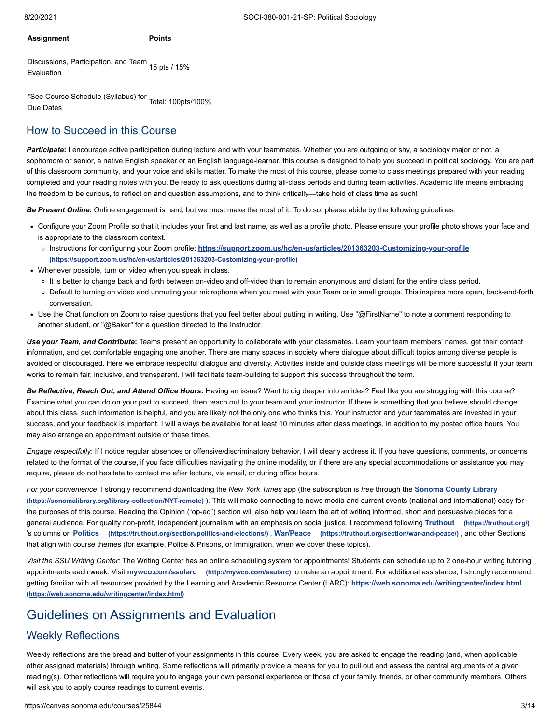#### **Assignment Points**

Discussions, Participation, and Team 15 pts / 15% Evaluation

\*See Course Schedule (Syllabus) for Total: 100pts/100% Due Dates

## How to Succeed in this Course

**Participate**: I encourage active participation during lecture and with your teammates. Whether you are outgoing or shy, a sociology major or not, a sophomore or senior, a native English speaker or an English language-learner, this course is designed to help you succeed in political sociology. You are part of this classroom community, and your voice and skills matter. To make the most of this course, please come to class meetings prepared with your reading completed and your reading notes with you. Be ready to ask questions during all-class periods and during team activities. Academic life means embracing the freedom to be curious, to reflect on and question assumptions, and to think critically—take hold of class time as such!

*Be Present Online***:** Online engagement is hard, but we must make the most of it. To do so, please abide by the following guidelines:

- Configure your Zoom Profile so that it includes your first and last name, as well as a profile photo. Please ensure your profile photo shows your face and is appropriate to the classroom context.
	- Instructions for configuring your Zoom profile: **<https://support.zoom.us/hc/en-us/articles/201363203-Customizing-your-profile> (https://support.zoom.us/hc/en-us/articles/201363203-Customizing-your-profile)**
- Whenever possible, turn on video when you speak in class.
	- o It is better to change back and forth between on-video and off-video than to remain anonymous and distant for the entire class period.
	- Default to turning on video and unmuting your microphone when you meet with your Team or in small groups. This inspires more open, back-and-forth conversation.
- Use the Chat function on Zoom to raise questions that you feel better about putting in writing. Use "@FirstName" to note a comment responding to another student, or "@Baker" for a question directed to the Instructor.

*Use your Team***,** *and Contribute***:** Teams present an opportunity to collaborate with your classmates. Learn your team members' names, get their contact information, and get comfortable engaging one another. There are many spaces in society where dialogue about difficult topics among diverse people is avoided or discouraged. Here we embrace respectful dialogue and diversity. Activities inside and outside class meetings will be more successful if your team works to remain fair, inclusive, and transparent. I will facilitate team-building to support this success throughout the term.

*Be Reflective, Reach Out, and Attend Office Hours:* Having an issue? Want to dig deeper into an idea? Feel like you are struggling with this course? Examine what you can do on your part to succeed, then reach out to your team and your instructor. If there is something that you believe should change about this class, such information is helpful, and you are likely not the only one who thinks this. Your instructor and your teammates are invested in your success, and your feedback is important. I will always be available for at least 10 minutes after class meetings, in addition to my posted office hours. You may also arrange an appointment outside of these times.

*Engage respectfully*: If I notice regular absences or offensive/discriminatory behavior, I will clearly address it. If you have questions, comments, or concerns related to the format of the course, if you face difficulties navigating the online modality, or if there are any special accommodations or assistance you may require, please do not hesitate to contact me after lecture, via email, or during office hours.

*For your convenience*: I strongly recommend downloading the *New York Times* app (the subscription is *free* through the **Sonoma County Library (https://sonomalibrary.org/library-collection/NYT-remote)** [\). This will make connecting to news media and current events \(national and international\) ea](https://sonomalibrary.org/library-collection/NYT-remote)sy for the purposes of this course. Reading the Opinion ("op-ed") section will also help you learn the art of writing informed, short and persuasive pieces for a general audience. For quality non-profit, independent journalism with an emphasis on social justice, I recommend following **Truthout [\(https://truthout.org/\)](https://truthout.org/)** 's columns on **Politics [\(https://truthout.org/section/politics-and-elections/\)](https://truthout.org/section/politics-and-elections/)** , **War/Peace [\(https://truthout.org/section/war-and-peace/\)](https://truthout.org/section/war-and-peace/)** , and other Sections that align with course themes (for example, Police & Prisons, or Immigration, when we cover these topics).

*Visit the SSU Writing Center:* The Writing Center has an online scheduling system for appointments! Students can schedule up to 2 one-hour writing tutoring appointments each week. Visit **mywco.com/ssularc [\(http://mywco.com/ssularc\)](http://mywco.com/ssularc)** to make an appointment. For additional assistance, I strongly recommend [getting familiar with all resources provided by the Learning and Academic Resource Center \(LARC\):](https://web.sonoma.edu/writingcenter/index.html) **https://web.sonoma.edu/writingcenter/index.html. (https://web.sonoma.edu/writingcenter/index.html)**

# Guidelines on Assignments and Evaluation

## Weekly Reflections

Weekly reflections are the bread and butter of your assignments in this course. Every week, you are asked to engage the reading (and, when applicable, other assigned materials) through writing. Some reflections will primarily provide a means for you to pull out and assess the central arguments of a given reading(s). Other reflections will require you to engage your own personal experience or those of your family, friends, or other community members. Others will ask you to apply course readings to current events.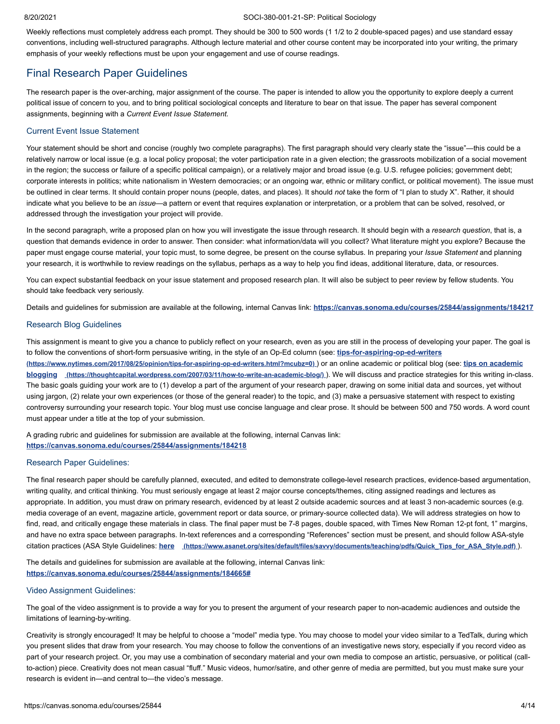#### 8/20/2021 SOCI-380-001-21-SP: Political Sociology

Weekly reflections must completely address each prompt. They should be 300 to 500 words (1 1/2 to 2 double-spaced pages) and use standard essay conventions, including well-structured paragraphs. Although lecture material and other course content may be incorporated into your writing, the primary emphasis of your weekly reflections must be upon your engagement and use of course readings.

#### Final Research Paper Guidelines

The research paper is the over-arching, major assignment of the course. The paper is intended to allow you the opportunity to explore deeply a current political issue of concern to you, and to bring political sociological concepts and literature to bear on that issue. The paper has several component assignments, beginning with a *Current Event Issue Statement.*

#### Current Event Issue Statement

Your statement should be short and concise (roughly two complete paragraphs). The first paragraph should very clearly state the "issue"—this could be a relatively narrow or local issue (e.g. a local policy proposal; the voter participation rate in a given election; the grassroots mobilization of a social movement in the region; the success or failure of a specific political campaign), or a relatively major and broad issue (e.g. U.S. refugee policies; government debt; corporate interests in politics; white nationalism in Western democracies; or an ongoing war, ethnic or military conflict, or political movement). The issue must be outlined in clear terms. It should contain proper nouns (people, dates, and places). It should *not* take the form of "I plan to study X". Rather, it should indicate what you believe to be an *issue*—a pattern or event that requires explanation or interpretation, or a problem that can be solved, resolved, or addressed through the investigation your project will provide.

In the second paragraph, write a proposed plan on how you will investigate the issue through research. It should begin with a *research question*, that is, a question that demands evidence in order to answer. Then consider: what information/data will you collect? What literature might you explore? Because the paper must engage course material, your topic must, to some degree, be present on the course syllabus. In preparing your *Issue Statement* and planning your research, it is worthwhile to review readings on the syllabus, perhaps as a way to help you find ideas, additional literature, data, or resources.

You can expect substantial feedback on your issue statement and proposed research plan. It will also be subject to peer review by fellow students. You should take feedback very seriously.

Details and guidelines for submission are available at the following, internal Canvas link: **<https://canvas.sonoma.edu/courses/25844/assignments/184217>**

#### Research Blog Guidelines

This assignment is meant to give you a chance to publicly reflect on your research, even as you are still in the process of developing your paper. The goal is [to follow the conventions of short-form persuasive writing, in the style of an Op-Ed column \(see:](https://www.nytimes.com/2017/08/25/opinion/tips-for-aspiring-op-ed-writers.html?mcubz=0) **tips-for-aspiring-op-ed-writers [\(https://www.nytimes.com/2017/08/25/opinion/tips-for-aspiring-op-ed-writers.html?mcubz=0\)](https://thoughtcapital.wordpress.com/2007/03/11/how-to-write-an-academic-blog/)** ) or an online academic or political blog (see: **tips on academic blogging (https://thoughtcapital.wordpress.com/2007/03/11/how-to-write-an-academic-blog/)** ). We will discuss and practice strategies for this writing in-class. The basic goals guiding your work are to (1) develop a part of the argument of your research paper, drawing on some initial data and sources, yet without using jargon, (2) relate your own experiences (or those of the general reader) to the topic, and (3) make a persuasive statement with respect to existing controversy surrounding your research topic. Your blog must use concise language and clear prose. It should be between 500 and 750 words. A word count must appear under a title at the top of your submission.

A grading rubric and guidelines for submission are available at the following, internal Canvas link: **<https://canvas.sonoma.edu/courses/25844/assignments/184218>**

#### Research Paper Guidelines:

The final research paper should be carefully planned, executed, and edited to demonstrate college-level research practices, evidence-based argumentation, writing quality, and critical thinking. You must seriously engage at least 2 major course concepts/themes, citing assigned readings and lectures as appropriate. In addition, you must draw on primary research, evidenced by at least 2 outside academic sources and at least 3 non-academic sources (e.g. media coverage of an event, magazine article, government report or data source, or primary-source collected data). We will address strategies on how to find, read, and critically engage these materials in class. The final paper must be 7-8 pages, double spaced, with Times New Roman 12-pt font, 1" margins, and have no extra space between paragraphs. In-text references and a corresponding "References" section must be present, and should follow ASA-style citation practices (ASA Style Guidelines: **here [\(https://www.asanet.org/sites/default/files/savvy/documents/teaching/pdfs/Quick\\_Tips\\_for\\_ASA\\_Style.pdf\)](https://www.asanet.org/sites/default/files/savvy/documents/teaching/pdfs/Quick_Tips_for_ASA_Style.pdf)** ).

The details and guidelines for submission are available at the following, internal Canvas link: **<https://canvas.sonoma.edu/courses/25844/assignments/184665#>**

#### Video Assignment Guidelines:

The goal of the video assignment is to provide a way for you to present the argument of your research paper to non-academic audiences and outside the limitations of learning-by-writing.

Creativity is strongly encouraged! It may be helpful to choose a "model" media type. You may choose to model your video similar to a TedTalk, during which you present slides that draw from your research. You may choose to follow the conventions of an investigative news story, especially if you record video as part of your research project. Or, you may use a combination of secondary material and your own media to compose an artistic, persuasive, or political (callto-action) piece. Creativity does not mean casual "fluff." Music videos, humor/satire, and other genre of media are permitted, but you must make sure your research is evident in—and central to—the video's message.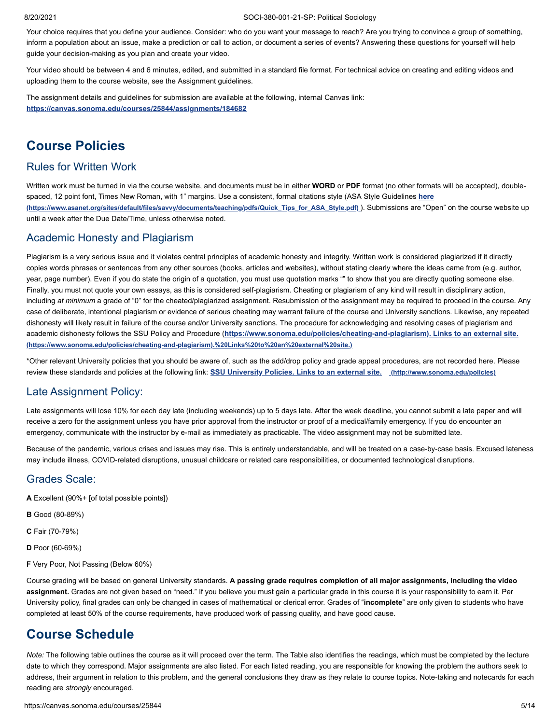Your choice requires that you define your audience. Consider: who do you want your message to reach? Are you trying to convince a group of something, inform a population about an issue, make a prediction or call to action, or document a series of events? Answering these questions for yourself will help guide your decision-making as you plan and create your video.

Your video should be between 4 and 6 minutes, edited, and submitted in a standard file format. For technical advice on creating and editing videos and uploading them to the course website, see the Assignment guidelines.

The assignment details and guidelines for submission are available at the following, internal Canvas link: **<https://canvas.sonoma.edu/courses/25844/assignments/184682>**

# **Course Policies**

#### Rules for Written Work

Written work must be turned in via the course website, and documents must be in either **WORD** or **PDF** format (no other formats will be accepted), double[spaced, 12 point font, Times New Roman, with 1" margins. Use a consistent, formal citations style \(ASA Style Guidelines](https://www.asanet.org/sites/default/files/savvy/documents/teaching/pdfs/Quick_Tips_for_ASA_Style.pdf) **here (https://www.asanet.org/sites/default/files/savvy/documents/teaching/pdfs/Quick\_Tips\_for\_ASA\_Style.pdf)** ). Submissions are "Open" on the course website up until a week after the Due Date/Time, unless otherwise noted.

## Academic Honesty and Plagiarism

Plagiarism is a very serious issue and it violates central principles of academic honesty and integrity. Written work is considered plagiarized if it directly copies words phrases or sentences from any other sources (books, articles and websites), without stating clearly where the ideas came from (e.g. author, year, page number). Even if you do state the origin of a quotation, you must use quotation marks "" to show that you are directly quoting someone else. Finally, you must not quote your own essays, as this is considered self-plagiarism. Cheating or plagiarism of any kind will result in disciplinary action, including at minimum a grade of "0" for the cheated/plagiarized assignment. Resubmission of the assignment may be required to proceed in the course. Any case of deliberate, intentional plagiarism or evidence of serious cheating may warrant failure of the course and University sanctions. Likewise, any repeated dishonesty will likely result in failure of the course and/or University sanctions. The procedure for acknowledging and resolving cases of plagiarism and academic dishonesty follows the SSU Policy and Procedure (**[https://www.sonoma.edu/policies/cheating-and-plagiarism\). Links to an external site.](https://www.sonoma.edu/policies/cheating-and-plagiarism).%20Links%20to%20an%20external%20site.) (https://www.sonoma.edu/policies/cheating-and-plagiarism).%20Links%20to%20an%20external%20site.)**

\*Other relevant University policies that you should be aware of, such as the add/drop policy and grade appeal procedures, are not recorded here. Please review these standards and policies at the following link: **[SSU University Policies. Links to an external site.](http://www.sonoma.edu/policies) (http://www.sonoma.edu/policies)**

## Late Assignment Policy:

Late assignments will lose 10% for each day late (including weekends) up to 5 days late. After the week deadline, you cannot submit a late paper and will receive a zero for the assignment unless you have prior approval from the instructor or proof of a medical/family emergency. If you do encounter an emergency, communicate with the instructor by e-mail as immediately as practicable. The video assignment may not be submitted late.

Because of the pandemic, various crises and issues may rise. This is entirely understandable, and will be treated on a case-by-case basis. Excused lateness may include illness, COVID-related disruptions, unusual childcare or related care responsibilities, or documented technological disruptions.

#### Grades Scale:

- **A** Excellent (90%+ [of total possible points])
- **B** Good (80-89%)
- **C** Fair (70-79%)
- **D** Poor (60-69%)
- **F** Very Poor, Not Passing (Below 60%)

Course grading will be based on general University standards. **A passing grade requires completion of all major assignments, including the video assignment.** Grades are not given based on "need." If you believe you must gain a particular grade in this course it is your responsibility to earn it. Per University policy, final grades can only be changed in cases of mathematical or clerical error. Grades of "**incomplete**" are only given to students who have completed at least 50% of the course requirements, have produced work of passing quality, and have good cause.

# **Course Schedule**

*Note:* The following table outlines the course as it will proceed over the term. The Table also identifies the readings, which must be completed by the lecture date to which they correspond. Major assignments are also listed. For each listed reading, you are responsible for knowing the problem the authors seek to address, their argument in relation to this problem, and the general conclusions they draw as they relate to course topics. Note-taking and notecards for each reading are *strongly* encouraged.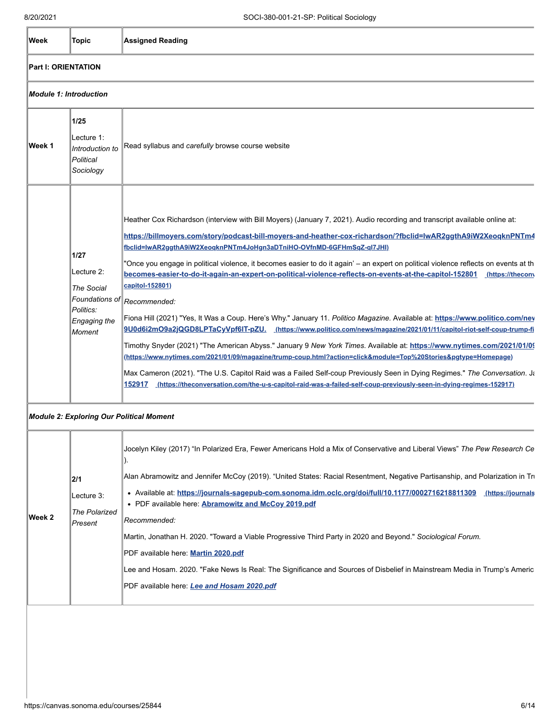| Week                          | <b>Topic</b>                                                                     | <b>Assigned Reading</b>                                                                                                                                                                                                                                                                                                                                                                                                                                                                                                                                                                                                                                                                                                                                                                                                                                                                                                                                                                                                                                                                                                                                                                                                                                                                                                                                                                                           |
|-------------------------------|----------------------------------------------------------------------------------|-------------------------------------------------------------------------------------------------------------------------------------------------------------------------------------------------------------------------------------------------------------------------------------------------------------------------------------------------------------------------------------------------------------------------------------------------------------------------------------------------------------------------------------------------------------------------------------------------------------------------------------------------------------------------------------------------------------------------------------------------------------------------------------------------------------------------------------------------------------------------------------------------------------------------------------------------------------------------------------------------------------------------------------------------------------------------------------------------------------------------------------------------------------------------------------------------------------------------------------------------------------------------------------------------------------------------------------------------------------------------------------------------------------------|
| <b>Part I: ORIENTATION</b>    |                                                                                  |                                                                                                                                                                                                                                                                                                                                                                                                                                                                                                                                                                                                                                                                                                                                                                                                                                                                                                                                                                                                                                                                                                                                                                                                                                                                                                                                                                                                                   |
| <b>Module 1: Introduction</b> |                                                                                  |                                                                                                                                                                                                                                                                                                                                                                                                                                                                                                                                                                                                                                                                                                                                                                                                                                                                                                                                                                                                                                                                                                                                                                                                                                                                                                                                                                                                                   |
| Week 1                        | 1/25<br>Lecture 1:<br>Introduction to<br>Political<br>Sociology                  | Read syllabus and carefully browse course website                                                                                                                                                                                                                                                                                                                                                                                                                                                                                                                                                                                                                                                                                                                                                                                                                                                                                                                                                                                                                                                                                                                                                                                                                                                                                                                                                                 |
|                               | $1/27$<br>Lecture 2:<br>The Social<br>Politics:<br><b>Engaging the</b><br>Moment | Heather Cox Richardson (interview with Bill Moyers) (January 7, 2021). Audio recording and transcript available online at:<br>https://billmoyers.com/story/podcast-bill-moyers-and-heather-cox-richardson/?fbclid=lwAR2ggthA9iW2XeogknPNTm4<br>fbclid=lwAR2ggthA9iW2XeoqknPNTm4JoHgn3aDTniHO-OVfnMD-6GFHmSqZ-ql7JHl)<br>"Once you engage in political violence, it becomes easier to do it again' – an expert on political violence reflects on events at th<br>becomes-easier-to-do-it-again-an-expert-on-political-violence-reflects-on-events-at-the-capitol-152801<br>(https://thecon)<br>capitol-152801)<br>Foundations of $\ $ Recommended:<br>Fiona Hill (2021) "Yes, It Was a Coup. Here's Why." January 11. Politico Magazine. Available at: https://www.politico.com/ney<br>9U0d6i2mO9a2jQGD8LPTaCyVpf6IT-pZU. (https://www.politico.com/news/magazine/2021/01/11/capitol-riot-self-coup-trump-fi<br>Timothy Snyder (2021) "The American Abyss." January 9 New York Times. Available at: https://www.nytimes.com/2021/01/09<br>(https://www.nytimes.com/2021/01/09/magazine/trump-coup.html?action=click&module=Top%20Stories&pgtype=Homepage)<br>Max Cameron (2021). "The U.S. Capitol Raid was a Failed Self-coup Previously Seen in Dying Regimes." The Conversation. Ja<br>152917 (https://theconversation.com/the-u-s-capitol-raid-was-a-failed-self-coup-previously-seen-in-dying-regimes-152917) |

#### *Module 2: Exploring Our Political Moment*

|         |                                    | Jocelyn Kiley (2017) "In Polarized Era, Fewer Americans Hold a Mix of Conservative and Liberal Views" The Pew Research Ce                                                      |
|---------|------------------------------------|--------------------------------------------------------------------------------------------------------------------------------------------------------------------------------|
|         | 2/1                                | Alan Abramowitz and Jennifer McCoy (2019). "United States: Racial Resentment, Negative Partisanship, and Polarization in Tru                                                   |
|         | Lecture 3:<br><b>The Polarized</b> | • Available at: https://journals-sagepub-com.sonoma.idm.oclc.org/doi/full/10.1177/0002716218811309<br>(https://journals<br>• PDF available here. Abramowitz and McCoy 2019.pdf |
| ∣Week 2 | Present                            | Recommended:                                                                                                                                                                   |
|         |                                    | Martin, Jonathan H. 2020. "Toward a Viable Progressive Third Party in 2020 and Beyond." Sociological Forum.                                                                    |
|         |                                    | PDF available here: Martin 2020.pdf                                                                                                                                            |
|         |                                    | Lee and Hosam. 2020. "Fake News Is Real: The Significance and Sources of Disbelief in Mainstream Media in Trump's Americ                                                       |
|         |                                    | PDF available here: Lee and Hosam 2020.pdf                                                                                                                                     |
|         |                                    |                                                                                                                                                                                |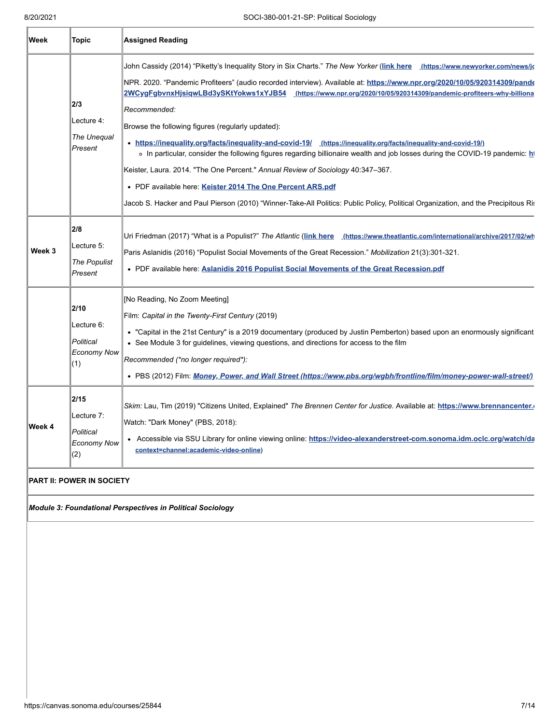| Week   | Topic                                                        | <b>Assigned Reading</b>                                                                                                                                                                                                                                                                                                                                                                                                                                                                                                                                                                                                                                                                                                                                                                                                                                                                                                                                                                    |
|--------|--------------------------------------------------------------|--------------------------------------------------------------------------------------------------------------------------------------------------------------------------------------------------------------------------------------------------------------------------------------------------------------------------------------------------------------------------------------------------------------------------------------------------------------------------------------------------------------------------------------------------------------------------------------------------------------------------------------------------------------------------------------------------------------------------------------------------------------------------------------------------------------------------------------------------------------------------------------------------------------------------------------------------------------------------------------------|
|        | 2/3<br>Lecture 4:<br>The Unequal<br>Present                  | John Cassidy (2014) "Piketty's Inequality Story in Six Charts." The New Yorker (link here (https://www.newyorker.com/news/jo<br>NPR. 2020. "Pandemic Profiteers" (audio recorded interview). Available at: https://www.npr.org/2020/10/05/920314309/pande<br>2WCygFgbvnxHjsigwLBd3ySKtYokws1xYJB54 (https://www.npr.org/2020/10/05/920314309/pandemic-profiteers-why-billiona<br>Recommended:<br>Browse the following figures (regularly updated):<br>• https://inequality.org/facts/inequality-and-covid-19/ (https://inequality.org/facts/inequality-and-covid-19/)<br>o In particular, consider the following figures regarding billionaire wealth and job losses during the COVID-19 pandemic: h<br>Keister, Laura. 2014. "The One Percent." Annual Review of Sociology 40:347-367.<br>• PDF available here: Keister 2014 The One Percent ARS.pdf<br>Jacob S. Hacker and Paul Pierson (2010) "Winner-Take-All Politics: Public Policy, Political Organization, and the Precipitous Ris |
| Week 3 | 2/8<br>Lecture 5:<br><b>The Populist</b><br>Present          | Uri Friedman (2017) "What is a Populist?" The Atlantic (link here (https://www.theatlantic.com/international/archive/2017/02/wh<br>Paris Aslanidis (2016) "Populist Social Movements of the Great Recession." Mobilization 21(3):301-321.<br>• PDF available here: Aslanidis 2016 Populist Social Movements of the Great Recession.pdf                                                                                                                                                                                                                                                                                                                                                                                                                                                                                                                                                                                                                                                     |
|        | 2/10<br>Lecture 6:<br>Political<br><b>Economy Now</b><br>(1) | [No Reading, No Zoom Meeting]<br>Film: Capital in the Twenty-First Century (2019)<br>• "Capital in the 21st Century" is a 2019 documentary (produced by Justin Pemberton) based upon an enormously significant<br>• See Module 3 for guidelines, viewing questions, and directions for access to the film<br>Recommended (*no longer required*):<br>• PBS (2012) Film: Money, Power, and Wall Street (https://www.pbs.org/wgbh/frontline/film/money-power-wall-street/)                                                                                                                                                                                                                                                                                                                                                                                                                                                                                                                    |
| Week 4 | 2/15<br>Lecture 7:<br>Political<br><b>Economy Now</b><br>(2) | Skim: Lau, Tim (2019) "Citizens United, Explained" The Brennen Center for Justice. Available at: https://www.brennancenter.<br>Watch: "Dark Money" (PBS, 2018):<br>• Accessible via SSU Library for online viewing online: https://video-alexanderstreet-com.sonoma.idm.oclc.org/watch/da<br>context=channel:academic-video-online)                                                                                                                                                                                                                                                                                                                                                                                                                                                                                                                                                                                                                                                        |

#### **PART II: POWER IN SOCIETY**

*Module 3: Foundational Perspectives in Political Sociology*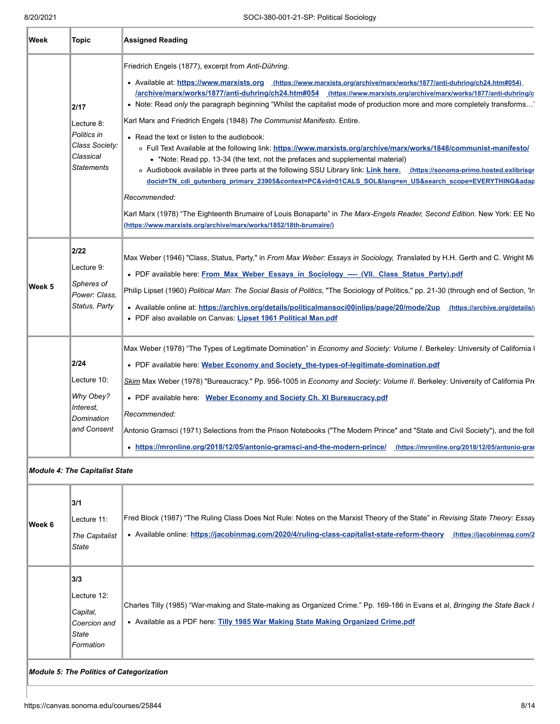| Week   | <b>Topic</b>                                                                          | <b>Assigned Reading</b>                                                                                                                                                                                                                                                                                                                                                                                                                                                                                                                                                                                                                                                                                                                                                                                                                                                                                                                                                                                                                                                                                                                                                                                               |
|--------|---------------------------------------------------------------------------------------|-----------------------------------------------------------------------------------------------------------------------------------------------------------------------------------------------------------------------------------------------------------------------------------------------------------------------------------------------------------------------------------------------------------------------------------------------------------------------------------------------------------------------------------------------------------------------------------------------------------------------------------------------------------------------------------------------------------------------------------------------------------------------------------------------------------------------------------------------------------------------------------------------------------------------------------------------------------------------------------------------------------------------------------------------------------------------------------------------------------------------------------------------------------------------------------------------------------------------|
|        | 2/17<br>Lecture 8:<br>Politics in<br>Class Society:<br>Classical<br><b>Statements</b> | Friedrich Engels (1877), excerpt from Anti-Dühring.<br>• Available at: https://www.marxists.org (https://www.marxists.org/archive/marx/works/1877/anti-duhring/ch24.htm#054)<br>/archive/marx/works/1877/anti-duhring/ch24.htm#054 (https://www.marxists.org/archive/marx/works/1877/anti-duhring/c<br>• Note: Read only the paragraph beginning "Whilst the capitalist mode of production more and more completely transforms'<br>Karl Marx and Friedrich Engels (1848) The Communist Manifesto. Entire.<br>• Read the text or listen to the audiobook:<br>o Full Text Available at the following link: https://www.marxists.org/archive/marx/works/1848/communist-manifesto/<br>• *Note: Read pp. 13-34 (the text, not the prefaces and supplemental material)<br>o Audiobook available in three parts at the following SSU Library link: Link here. (https://sonoma-primo.hosted.exlibrisgr<br>docid=TN cdi gutenberg primary 23905&context=PC&vid=01CALS SOL⟨=en US&search scope=EVERYTHING&adap<br>Recommended:<br>Karl Marx (1978) "The Eighteenth Brumaire of Louis Bonaparte" in The Marx-Engels Reader, Second Edition. New York: EE No<br>(https://www.marxists.org/archive/marx/works/1852/18th-brumaire/) |
| Week 5 | 2/22<br>Lecture 9:<br>Spheres of<br>Power: Class,<br>Status, Party                    | Max Weber (1946) "Class, Status, Party," in From Max Weber: Essays in Sociology, Translated by H.H. Gerth and C. Wright Mi<br>. PDF available here: From Max Weber Essays in Sociology ----- (VII. Class Status Party).pdf<br>Philip Lipset (1960) Political Man: The Social Basis of Politics, "The Sociology of Politics," pp. 21-30 (through end of Section, 'In<br>• Available online at: https://archive.org/details/politicalmansoci00inlips/page/20/mode/2up (https://archive.org/details/<br>• PDF also available on Canvas: Lipset 1961 Political Man.pdf                                                                                                                                                                                                                                                                                                                                                                                                                                                                                                                                                                                                                                                    |
|        | 2/24<br>Lecture 10:<br>Why Obey?<br>Interest,<br>Domination<br>and Consent            | Max Weber (1978) "The Types of Legitimate Domination" in Economy and Society: Volume I. Berkeley: University of California I<br>• PDF available here: Weber Economy and Society_the-types-of-legitimate-domination.pdf<br>Skim Max Weber (1978) "Bureaucracy." Pp. 956-1005 in Economy and Society: Volume II. Berkeley: University of California Pre<br>• PDF available here: Weber Economy and Society Ch. XI Bureaucracy.pdf<br>Recommended:<br>Antonio Gramsci (1971) Selections from the Prison Notebooks ("The Modern Prince" and "State and Civil Society"), and the foll<br>• https://mronline.org/2018/12/05/antonio-gramsci-and-the-modern-prince/ (https://mronline.org/2018/12/05/antonio-gran                                                                                                                                                                                                                                                                                                                                                                                                                                                                                                            |

#### *Module 4: The Capitalist State*

| Week 6 | 3/1<br>Lecture 11:<br>The Capitalist<br>State                        | Fred Block (1987) "The Ruling Class Does Not Rule: Notes on the Marxist Theory of the State" in Revising State Theory: Essay<br>• Available online: https://jacobinmag.com/2020/4/ruling-class-capitalist-state-reform-theory<br>(https://jacobinmag.com/2 |
|--------|----------------------------------------------------------------------|------------------------------------------------------------------------------------------------------------------------------------------------------------------------------------------------------------------------------------------------------------|
|        | 3/3<br>Lecture 12:<br>Capital,<br>Coercion and<br>State<br>Formation | Charles Tilly (1985) "War-making and State-making as Organized Crime." Pp. 169-186 in Evans et al, Bringing the State Back I<br>• Available as a PDF here: Tilly 1985 War Making State Making Organized Crime.pdf                                          |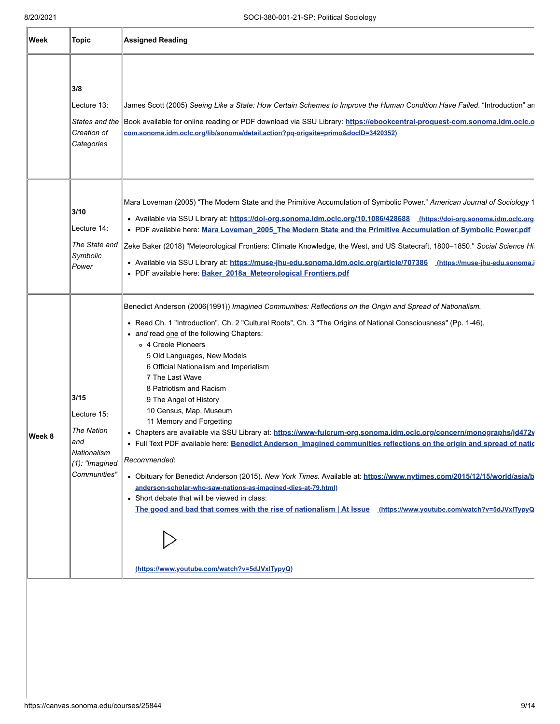| Week   | Topic                                                                                               | <b>Assigned Reading</b>                                                                                                                                                                                                                                                                                                                                                                                                                                                                                                                                                                                                                                                                                                                                                                                                                                                                                                                                                                                                                                                                                                                                                                 |
|--------|-----------------------------------------------------------------------------------------------------|-----------------------------------------------------------------------------------------------------------------------------------------------------------------------------------------------------------------------------------------------------------------------------------------------------------------------------------------------------------------------------------------------------------------------------------------------------------------------------------------------------------------------------------------------------------------------------------------------------------------------------------------------------------------------------------------------------------------------------------------------------------------------------------------------------------------------------------------------------------------------------------------------------------------------------------------------------------------------------------------------------------------------------------------------------------------------------------------------------------------------------------------------------------------------------------------|
|        | 3/8<br>Lecture 13:<br>Creation of<br>Categories                                                     | James Scott (2005) Seeing Like a State: How Certain Schemes to Improve the Human Condition Have Failed. "Introduction" an<br>States and the Book available for online reading or PDF download via SSU Library: https://ebookcentral-proquest-com.sonoma.idm.oclc.o<br>com.sonoma.idm.oclc.org/lib/sonoma/detail.action?pq-origsite=primo&doclD=3420352)                                                                                                                                                                                                                                                                                                                                                                                                                                                                                                                                                                                                                                                                                                                                                                                                                                 |
|        | 3/10<br>Lecture 14:<br>The State and<br>Symbolic<br>Power                                           | Mara Loveman (2005) "The Modern State and the Primitive Accumulation of Symbolic Power." American Journal of Sociology 1<br>• Available via SSU Library at: https://doi-org.sonoma.idm.oclc.org/10.1086/428688 (https://doi-org.sonoma.idm.oclc.org<br>. PDF available here: Mara Loveman 2005 The Modern State and the Primitive Accumulation of Symbolic Power.pdf<br>Zeke Baker (2018) "Meteorological Frontiers: Climate Knowledge, the West, and US Statecraft, 1800-1850." Social Science Hi.<br>· Available via SSU Library at: https://muse-jhu-edu.sonoma.idm.oclc.org/article/707386 (https://muse-jhu-edu.sonoma.i<br>• PDF available here: Baker 2018a Meteorological Frontiers.pdf                                                                                                                                                                                                                                                                                                                                                                                                                                                                                         |
| Week 8 | 3/15<br>Lecture 15:<br><b>The Nation</b><br>and<br>Nationalism<br>$(1)$ : "Imagined<br>Communities" | Benedict Anderson (2006{1991}) Imagined Communities: Reflections on the Origin and Spread of Nationalism.<br>• Read Ch. 1 "Introduction", Ch. 2 "Cultural Roots", Ch. 3 "The Origins of National Consciousness" (Pp. 1-46),<br>• and read one of the following Chapters:<br>o 4 Creole Pioneers<br>5 Old Languages, New Models<br>6 Official Nationalism and Imperialism<br>7 The Last Wave<br>8 Patriotism and Racism<br>9 The Angel of History<br>10 Census, Map, Museum<br>11 Memory and Forgetting<br>. Chapters are available via SSU Library at: https://www-fulcrum-org.sonoma.idm.oclc.org/concern/monographs/jd472v<br>. Full Text PDF available here: Benedict Anderson_Imagined communities reflections on the origin and spread of natio<br>Recommended:<br>• Obituary for Benedict Anderson (2015). New York Times. Available at: https://www.nytimes.com/2015/12/15/world/asia/b<br>anderson-scholar-who-saw-nations-as-imagined-dies-at-79.html)<br>• Short debate that will be viewed in class:<br>The good and bad that comes with the rise of nationalism   At $l$ ssue (https://www.youtube.com/watch?v=5dJVxlTypyQ<br>(https://www.youtube.com/watch?v=5dJVxITypyQ) |
|        |                                                                                                     |                                                                                                                                                                                                                                                                                                                                                                                                                                                                                                                                                                                                                                                                                                                                                                                                                                                                                                                                                                                                                                                                                                                                                                                         |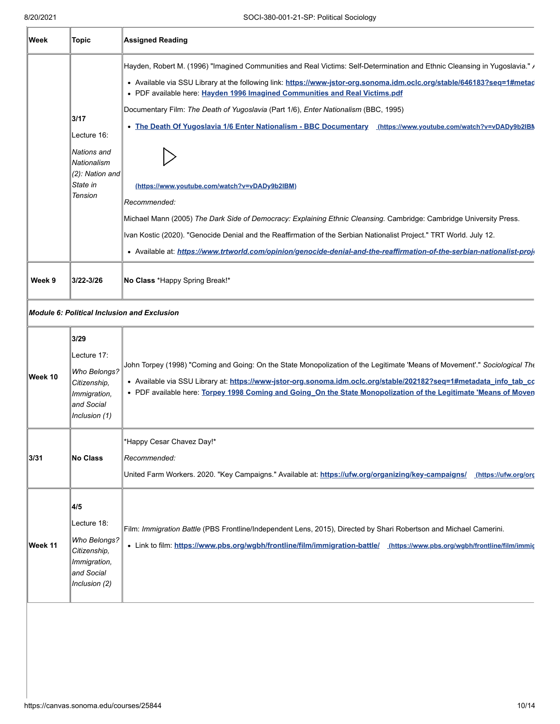| Week    | Topic                                                                                              | <b>Assigned Reading</b>                                                                                                                                                                                                                                                                                                                                                                                                                                                                                                                                                                                                                                                                                                                                                                                                                                                                                                                                                                |
|---------|----------------------------------------------------------------------------------------------------|----------------------------------------------------------------------------------------------------------------------------------------------------------------------------------------------------------------------------------------------------------------------------------------------------------------------------------------------------------------------------------------------------------------------------------------------------------------------------------------------------------------------------------------------------------------------------------------------------------------------------------------------------------------------------------------------------------------------------------------------------------------------------------------------------------------------------------------------------------------------------------------------------------------------------------------------------------------------------------------|
|         | 3/17<br>Lecture 16:<br>Nations and<br>Nationalism<br>(2): Nation and<br>State in<br><b>Tension</b> | Hayden, Robert M. (1996) "Imagined Communities and Real Victims: Self-Determination and Ethnic Cleansing in Yugoslavia." ,<br>• Available via SSU Library at the following link: https://www-jstor-org.sonoma.idm.oclc.org/stable/646183?seq=1#metad<br>• PDF available here: Hayden 1996 Imagined Communities and Real Victims.pdf<br>Documentary Film: The Death of Yugoslavia (Part 1/6), Enter Nationalism (BBC, 1995)<br>. The Death Of Yugoslavia 1/6 Enter Nationalism - BBC Documentary (https://www.youtube.com/watch?v=vDADy9b2lBM<br>(https://www.youtube.com/watch?v=vDADy9b2IBM)<br>Recommended:<br>Michael Mann (2005) The Dark Side of Democracy: Explaining Ethnic Cleansing. Cambridge: Cambridge University Press.<br>Ivan Kostic (2020). "Genocide Denial and the Reaffirmation of the Serbian Nationalist Project." TRT World. July 12.<br>• Available at: https://www.trtworld.com/opinion/genocide-denial-and-the-reaffirmation-of-the-serbian-nationalist-proje |
| Week 9  | 3/22-3/26                                                                                          | No Class *Happy Spring Break!*                                                                                                                                                                                                                                                                                                                                                                                                                                                                                                                                                                                                                                                                                                                                                                                                                                                                                                                                                         |
|         |                                                                                                    | <b>Module 6: Political Inclusion and Exclusion</b>                                                                                                                                                                                                                                                                                                                                                                                                                                                                                                                                                                                                                                                                                                                                                                                                                                                                                                                                     |
| Week 10 | 3/29<br>Lecture 17:<br>Who Belongs?<br>Citizenship,<br>Immigration,<br>and Social<br>Inclusion (1) | John Torpey (1998) "Coming and Going: On the State Monopolization of the Legitimate 'Means of Movement'." Sociological The<br>· Available via SSU Library at: https://www-jstor-org.sonoma.idm.oclc.org/stable/202182?seq=1#metadata_info_tab_co<br>. PDF available here: Torpey 1998 Coming and Going On the State Monopolization of the Legitimate 'Means of Moven                                                                                                                                                                                                                                                                                                                                                                                                                                                                                                                                                                                                                   |
| 3/31    | No Class                                                                                           | *Happy Cesar Chavez Day!*<br>Recommended:<br>United Farm Workers. 2020. "Key Campaigns." Available at: https://ufw.org/organizing/key-campaigns/ (https://ufw.org/org                                                                                                                                                                                                                                                                                                                                                                                                                                                                                                                                                                                                                                                                                                                                                                                                                  |
| Week 11 | 4/5<br>Lecture 18:<br>Who Belongs?<br>Citizenship,<br>Immigration,<br>and Social<br>Inclusion (2)  | Film: Immigration Battle (PBS Frontline/Independent Lens, 2015), Directed by Shari Robertson and Michael Camerini.<br>• Link to film: https://www.pbs.org/wgbh/frontline/film/immigration-battle/ (https://www.pbs.org/wgbh/frontline/film/immigration-battle/                                                                                                                                                                                                                                                                                                                                                                                                                                                                                                                                                                                                                                                                                                                         |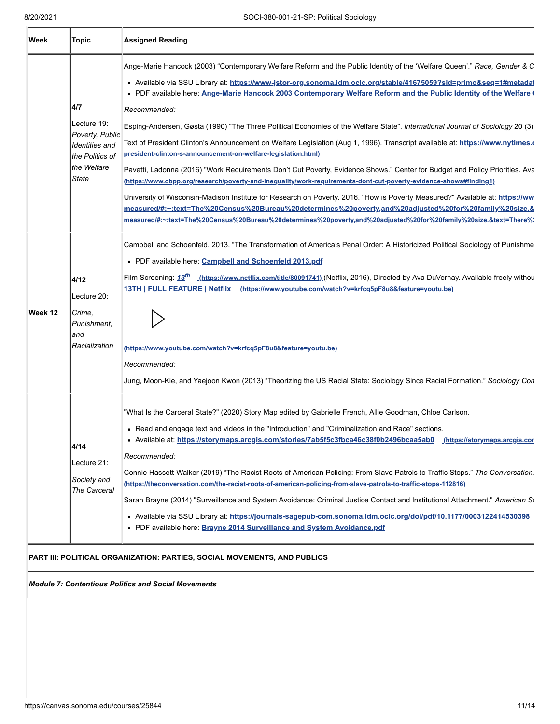| Week    | <b>Topic</b>                                                                                                     | <b>Assigned Reading</b>                                                                                                                                                                                                                                                                                                                                                                                                                                                                                                                                                                                                                                                                                                                                                                                                                                                                                                                                                                                                                                                                                                                                                                                                                                                                                                                         |  |
|---------|------------------------------------------------------------------------------------------------------------------|-------------------------------------------------------------------------------------------------------------------------------------------------------------------------------------------------------------------------------------------------------------------------------------------------------------------------------------------------------------------------------------------------------------------------------------------------------------------------------------------------------------------------------------------------------------------------------------------------------------------------------------------------------------------------------------------------------------------------------------------------------------------------------------------------------------------------------------------------------------------------------------------------------------------------------------------------------------------------------------------------------------------------------------------------------------------------------------------------------------------------------------------------------------------------------------------------------------------------------------------------------------------------------------------------------------------------------------------------|--|
|         | 4/7<br>Lecture 19:<br>Poverty, Public<br><b>Identities</b> and<br>the Politics of<br>the Welfare<br><b>State</b> | Ange-Marie Hancock (2003) "Contemporary Welfare Reform and the Public Identity of the 'Welfare Queen'." Race, Gender & C<br>• Available via SSU Library at: https://www-jstor-org.sonoma.idm.oclc.org/stable/41675059?sid=primo&seq=1#metadat<br>. PDF available here: Ange-Marie Hancock 2003 Contemporary Welfare Reform and the Public Identity of the Welfare (<br>Recommended:<br>Esping-Andersen, Gøsta (1990) "The Three Political Economies of the Welfare State". International Journal of Sociology 20 (3)<br>Text of President Clinton's Announcement on Welfare Legislation (Aug 1, 1996). Transcript available at: <u>https://www.nytimes.≀</u><br>president-clinton-s-announcement-on-welfare-legislation.html)<br>Pavetti, Ladonna (2016) "Work Requirements Don't Cut Poverty, Evidence Shows." Center for Budget and Policy Priorities. Ava<br>(https://www.cbpp.org/research/poverty-and-inequality/work-requirements-dont-cut-poverty-evidence-shows#finding1)<br>University of Wisconsin-Madison Institute for Research on Poverty. 2016. "How is Poverty Measured?" Available at: https://ww<br>measured/#:~:text=The%20Census%20Bureau%20determines%20poverty,and%20adjusted%20for%20family%20size.&<br>measured/#:~:text=The%20Census%20Bureau%20determines%20poverty,and%20adjusted%20for%20family%20size.&text=There%/ |  |
| Week 12 | 4/12<br>Lecture 20:<br>Crime.<br>Punishment,<br>and<br>Racialization                                             | Campbell and Schoenfeld. 2013. "The Transformation of America's Penal Order: A Historicized Political Sociology of Punishme<br>• PDF available here: Campbell and Schoenfeld 2013.pdf<br>Film Screening: 13 <sup>th</sup> (https://www.netflix.com/title/80091741) (Netflix, 2016), Directed by Ava DuVernay. Available freely withou<br>13TH   FULL FEATURE   Netflix (https://www.youtube.com/watch?v=krfcq5pF8u8&feature=youtu.be)<br>(https://www.youtube.com/watch?v=krfcq5pF8u8&feature=youtu.be)<br>Recommended:<br>Jung, Moon-Kie, and Yaejoon Kwon (2013) "Theorizing the US Racial State: Sociology Since Racial Formation." Sociology Con                                                                                                                                                                                                                                                                                                                                                                                                                                                                                                                                                                                                                                                                                            |  |
|         | 4/14<br>Lecture 21:<br>Society and<br>The Carceral                                                               | "What Is the Carceral State?" (2020) Story Map edited by Gabrielle French, Allie Goodman, Chloe Carlson.<br>• Read and engage text and videos in the "Introduction" and "Criminalization and Race" sections.<br>• Available at: https://storymaps.arcgis.com/stories/7ab5f5c3fbca46c38f0b2496bcaa5ab0<br>https://storymaps.arcgis.cor<br>Recommended:<br>Connie Hassett-Walker (2019) "The Racist Roots of American Policing: From Slave Patrols to Traffic Stops." The Conversation.<br>(https://theconversation.com/the-racist-roots-of-american-policing-from-slave-patrols-to-traffic-stops-112816)<br>Sarah Brayne (2014) "Surveillance and System Avoidance: Criminal Justice Contact and Institutional Attachment." American So<br>· Available via SSU Library at: https://journals-sagepub-com.sonoma.idm.oclc.org/doi/pdf/10.1177/0003122414530398<br>• PDF available here: Brayne 2014 Surveillance and System Avoidance.pdf                                                                                                                                                                                                                                                                                                                                                                                                          |  |

## **PART III: POLITICAL ORGANIZATION: PARTIES, SOCIAL MOVEMENTS, AND PUBLICS**

#### *Module 7: Contentious Politics and Social Movements*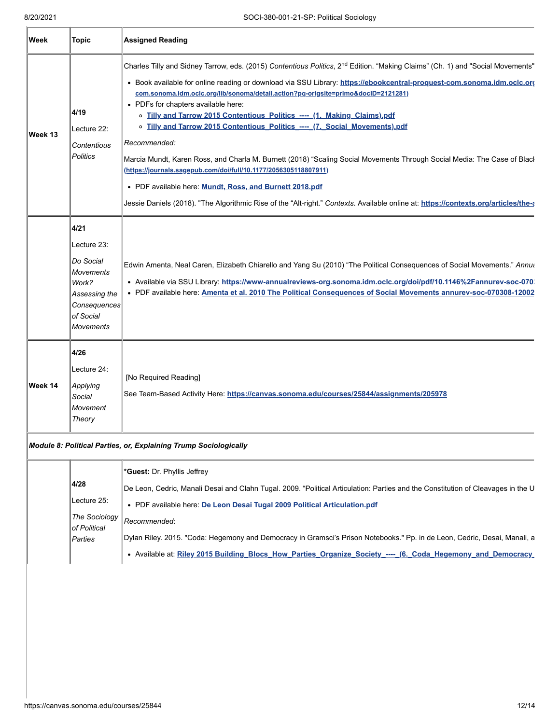| Week    | <b>Topic</b>                                                                                                                    | <b>Assigned Reading</b>                                                                                                                                                                                                                                                                                                                                                                                                                                                                                                                                                                                                                                                                                                                                                                                                                                                                                                                                                      |
|---------|---------------------------------------------------------------------------------------------------------------------------------|------------------------------------------------------------------------------------------------------------------------------------------------------------------------------------------------------------------------------------------------------------------------------------------------------------------------------------------------------------------------------------------------------------------------------------------------------------------------------------------------------------------------------------------------------------------------------------------------------------------------------------------------------------------------------------------------------------------------------------------------------------------------------------------------------------------------------------------------------------------------------------------------------------------------------------------------------------------------------|
| Week 13 | 4/19<br>Lecture 22:<br>Contentious<br><b>Politics</b>                                                                           | Charles Tilly and Sidney Tarrow, eds. (2015) Contentious Politics, 2 <sup>nd</sup> Edition. "Making Claims" (Ch. 1) and "Social Movements"<br>. Book available for online reading or download via SSU Library: https://ebookcentral-proquest-com.sonoma.idm.oclc.org<br>com.sonoma.idm.oclc.org/lib/sonoma/detail.action?pq-origsite=primo&doclD=2121281)<br>• PDFs for chapters available here:<br>o Tilly and Tarrow 2015 Contentious Politics ---- (1. Making Claims).pdf<br>o Tilly and Tarrow 2015 Contentious Politics ---- (7. Social Movements).pdf<br>Recommended:<br>Marcia Mundt, Karen Ross, and Charla M. Burnett (2018) "Scaling Social Movements Through Social Media: The Case of Blacl<br>(https://journals.sagepub.com/doi/full/10.1177/2056305118807911)<br>• PDF available here. Mundt, Ross, and Burnett 2018.pdf<br>Jessie Daniels (2018). "The Algorithmic Rise of the "Alt-right." Contexts. Available online at: https://contexts.org/articles/the- |
|         | 4/21<br>Lecture 23:<br>Do Social<br><b>Movements</b><br>Work?<br>Assessing the<br>Consequences<br>of Social<br><b>Movements</b> | Edwin Amenta, Neal Caren, Elizabeth Chiarello and Yang Su (2010) "The Political Consequences of Social Movements." Annut<br>· Available via SSU Library: https://www-annualreviews-org.sonoma.idm.oclc.org/doi/pdf/10.1146%2Fannurev-soc-070<br>. PDF available here: Amenta et al. 2010 The Political Consequences of Social Movements annurev-soc-070308-12002                                                                                                                                                                                                                                                                                                                                                                                                                                                                                                                                                                                                             |
| Week 14 | 4/26<br>Lecture 24:<br>Applying<br>Social<br>Movement<br>Theory                                                                 | [No Required Reading]<br>See Team-Based Activity Here: https://canvas.sonoma.edu/courses/25844/assignments/205978<br>Module 8: Political Parties, or, Explaining Trump Sociologically                                                                                                                                                                                                                                                                                                                                                                                                                                                                                                                                                                                                                                                                                                                                                                                        |
|         | 4/28<br>Lecture 25:<br>The Sociology<br>of Political<br>Parties                                                                 | *Guest: Dr. Phyllis Jeffrey<br>De Leon, Cedric, Manali Desai and Clahn Tugal. 2009. "Political Articulation: Parties and the Constitution of Cleavages in the U<br>• PDF available here: De Leon Desai Tugal 2009 Political Articulation.pdf<br>Recommended:<br>Dylan Riley. 2015. "Coda: Hegemony and Democracy in Gramsci's Prison Notebooks." Pp. in de Leon, Cedric, Desai, Manali, a<br>• Available at: Riley 2015 Building_Blocs_How_Parties_Organize_Society_----_ (6. Coda_Hegemony_and_Democracy_                                                                                                                                                                                                                                                                                                                                                                                                                                                                   |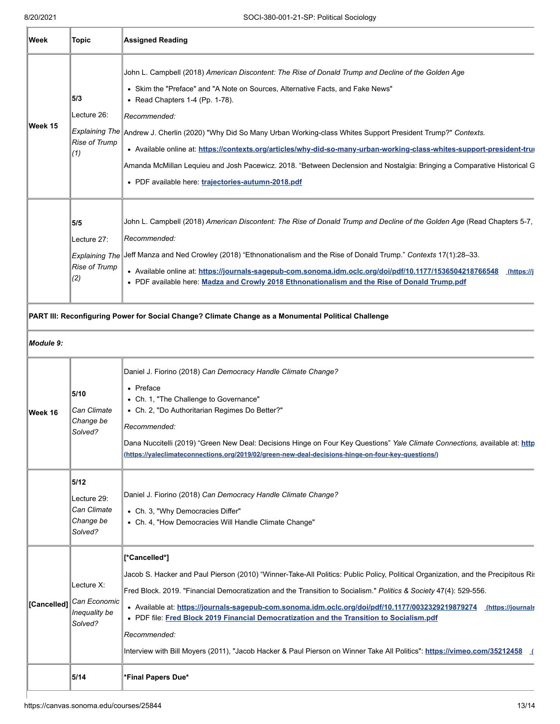**IF** 

| Week         | Topic                                                      | <b>Assigned Reading</b>                                                                                                                                                                                                                                                                                                                                                                                                                                                                                                                                                                                                                                                        |
|--------------|------------------------------------------------------------|--------------------------------------------------------------------------------------------------------------------------------------------------------------------------------------------------------------------------------------------------------------------------------------------------------------------------------------------------------------------------------------------------------------------------------------------------------------------------------------------------------------------------------------------------------------------------------------------------------------------------------------------------------------------------------|
| Week 15      | 5/3<br>Lecture 26:<br>Rise of Trump<br>(1)                 | John L. Campbell (2018) American Discontent: The Rise of Donald Trump and Decline of the Golden Age<br>• Skim the "Preface" and "A Note on Sources, Alternative Facts, and Fake News"<br>• Read Chapters 1-4 (Pp. 1-78).<br>Recommended:<br>Explaining The Andrew J. Cherlin (2020) "Why Did So Many Urban Working-class Whites Support President Trump?" Contexts.<br>· Available online at: https://contexts.org/articles/why-did-so-many-urban-working-class-whites-support-president-trun<br>Amanda McMillan Lequieu and Josh Pacewicz. 2018. "Between Declension and Nostalgia: Bringing a Comparative Historical G<br>• PDF available here: trajectories-autumn-2018.pdf |
|              | 5/5<br>Lecture 27:<br>Rise of Trump<br>(2)                 | John L. Campbell (2018) American Discontent: The Rise of Donald Trump and Decline of the Golden Age (Read Chapters 5-7,<br>Recommended:<br>Explaining The Jeff Manza and Ned Crowley (2018) "Ethnonationalism and the Rise of Donald Trump." Contexts 17(1):28-33.<br>• Available online at: https://journals-sagepub-com.sonoma.idm.oclc.org/doi/pdf/10.1177/1536504218766548 (https://j<br>. PDF available here: Madza and Crowly 2018 Ethnonationalism and the Rise of Donald Trump.pdf                                                                                                                                                                                     |
| Module 9:    |                                                            | PART III: Reconfiguring Power for Social Change? Climate Change as a Monumental Political Challenge                                                                                                                                                                                                                                                                                                                                                                                                                                                                                                                                                                            |
| Week 16      | 5/10<br>Can Climate<br>Change be<br>Solved?                | Daniel J. Fiorino (2018) Can Democracy Handle Climate Change?<br>• Preface<br>• Ch. 1, "The Challenge to Governance"<br>• Ch. 2, "Do Authoritarian Regimes Do Better?"<br>Recommended:<br>Dana Nuccitelli (2019) "Green New Deal: Decisions Hinge on Four Key Questions" Yale Climate Connections, available at: http<br>(https://yaleclimateconnections.org/2019/02/green-new-deal-decisions-hinge-on-four-key-questions/)                                                                                                                                                                                                                                                    |
|              | 5/12<br>Lecture 29:<br>Can Climate<br>Change be<br>Solved? | Daniel J. Fiorino (2018) Can Democracy Handle Climate Change?<br>• Ch. 3, "Why Democracies Differ"<br>• Ch. 4, "How Democracies Will Handle Climate Change"                                                                                                                                                                                                                                                                                                                                                                                                                                                                                                                    |
| ∥[Cancelled] | Lecture X:<br>Can Economic<br>Inequality be<br>Solved?     | [*Cancelled*]<br>Jacob S. Hacker and Paul Pierson (2010) "Winner-Take-All Politics: Public Policy, Political Organization, and the Precipitous Ris<br>Fred Block. 2019. "Financial Democratization and the Transition to Socialism." Politics & Society 47(4): 529-556.<br>• Available at: https://journals-sagepub-com.sonoma.idm.oclc.org/doi/pdf/10.1177/0032329219879274<br>(https://journals<br>• PDF file: Fred Block 2019 Financial Democratization and the Transition to Socialism.pdf<br>Recommended:<br>Interview with Bill Moyers (2011), "Jacob Hacker & Paul Pierson on Winner Take All Politics": https://vimeo.com/35212458 (                                   |
|              | 5/14                                                       | *Final Papers Due*                                                                                                                                                                                                                                                                                                                                                                                                                                                                                                                                                                                                                                                             |